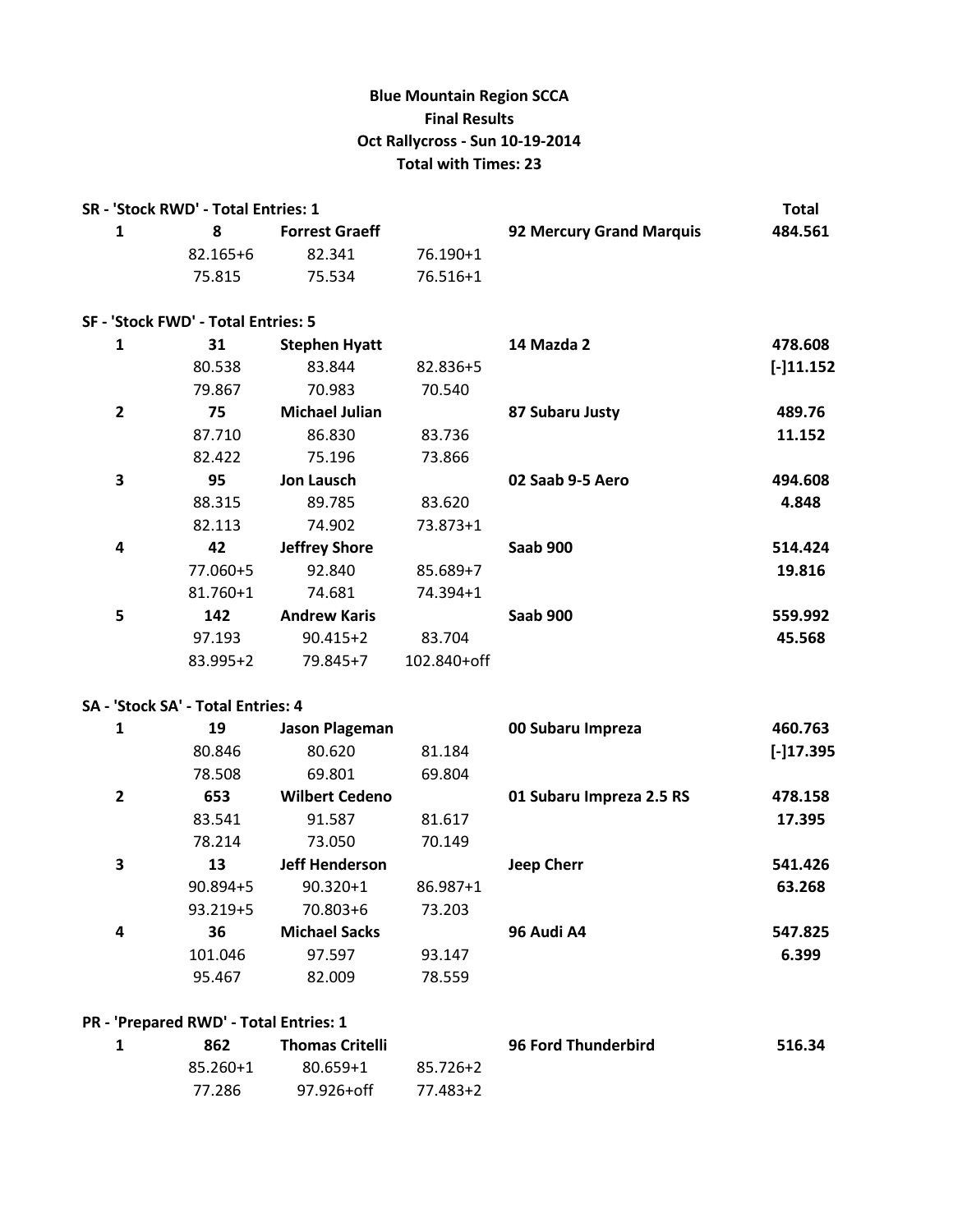# **Blue Mountain Region SCCA Final Results Oct Rallycross - Sun 10-19-2014 Total with Times: 23**

|              | SR - 'Stock RWD' - Total Entries: 1    |                       |             | <b>Total</b>             |             |
|--------------|----------------------------------------|-----------------------|-------------|--------------------------|-------------|
| $\mathbf{1}$ | 8                                      | <b>Forrest Graeff</b> |             | 92 Mercury Grand Marquis | 484.561     |
|              | 82.165+6                               | 82.341                | 76.190+1    |                          |             |
|              | 75.815                                 | 75.534                | 76.516+1    |                          |             |
|              | SF - 'Stock FWD' - Total Entries: 5    |                       |             |                          |             |
| 1            | 31                                     | <b>Stephen Hyatt</b>  |             | 14 Mazda 2               | 478.608     |
|              | 80.538                                 | 83.844                | 82.836+5    |                          | $[-]11.152$ |
|              | 79.867                                 | 70.983                | 70.540      |                          |             |
| $\mathbf{2}$ | 75                                     | <b>Michael Julian</b> |             | 87 Subaru Justy          | 489.76      |
|              | 87.710                                 | 86.830                | 83.736      |                          | 11.152      |
|              | 82.422                                 | 75.196                | 73.866      |                          |             |
| 3            | 95                                     | <b>Jon Lausch</b>     |             | 02 Saab 9-5 Aero         | 494.608     |
|              | 88.315                                 | 89.785                | 83.620      |                          | 4.848       |
|              | 82.113                                 | 74.902                | 73.873+1    |                          |             |
| 4            | 42                                     | <b>Jeffrey Shore</b>  |             | Saab 900                 | 514.424     |
|              | 77.060+5                               | 92.840                | 85.689+7    |                          | 19.816      |
|              | 81.760+1                               | 74.681                | 74.394+1    |                          |             |
| 5            | 142                                    | <b>Andrew Karis</b>   |             | <b>Saab 900</b>          | 559.992     |
|              | 97.193                                 | $90.415 + 2$          | 83.704      |                          | 45.568      |
|              | 83.995+2                               | 79.845+7              | 102.840+off |                          |             |
|              | SA - 'Stock SA' - Total Entries: 4     |                       |             |                          |             |
| $\mathbf{1}$ | 19                                     | Jason Plageman        |             | 00 Subaru Impreza        | 460.763     |
|              | 80.846                                 | 80.620                | 81.184      |                          | $[-]17.395$ |
|              | 78.508                                 | 69.801                | 69.804      |                          |             |
| $\mathbf{2}$ | 653                                    | <b>Wilbert Cedeno</b> |             | 01 Subaru Impreza 2.5 RS | 478.158     |
|              | 83.541                                 | 91.587                | 81.617      |                          | 17.395      |
|              | 78.214                                 | 73.050                | 70.149      |                          |             |
| 3            | 13                                     | <b>Jeff Henderson</b> |             | <b>Jeep Cherr</b>        | 541.426     |
|              | 90.894+5                               | $90.320 + 1$          | 86.987+1    |                          | 63.268      |
|              | 93.219+5                               | 70.803+6              | 73.203      |                          |             |
| 4            | 36                                     | <b>Michael Sacks</b>  |             | 96 Audi A4               | 547.825     |
|              | 101.046                                | 97.597                | 93.147      |                          | 6.399       |
|              | 95.467                                 | 82.009                | 78.559      |                          |             |
|              | PR - 'Prepared RWD' - Total Entries: 1 |                       |             |                          |             |

| 862      | <b>Thomas Critelli</b> |          | <b>96 Ford Thunderbird</b> | 516.34 |
|----------|------------------------|----------|----------------------------|--------|
| 85.260+1 | $80.659 + 1$           | 85.726+2 |                            |        |
| 77.286   | 97.926+off             | 77.483+2 |                            |        |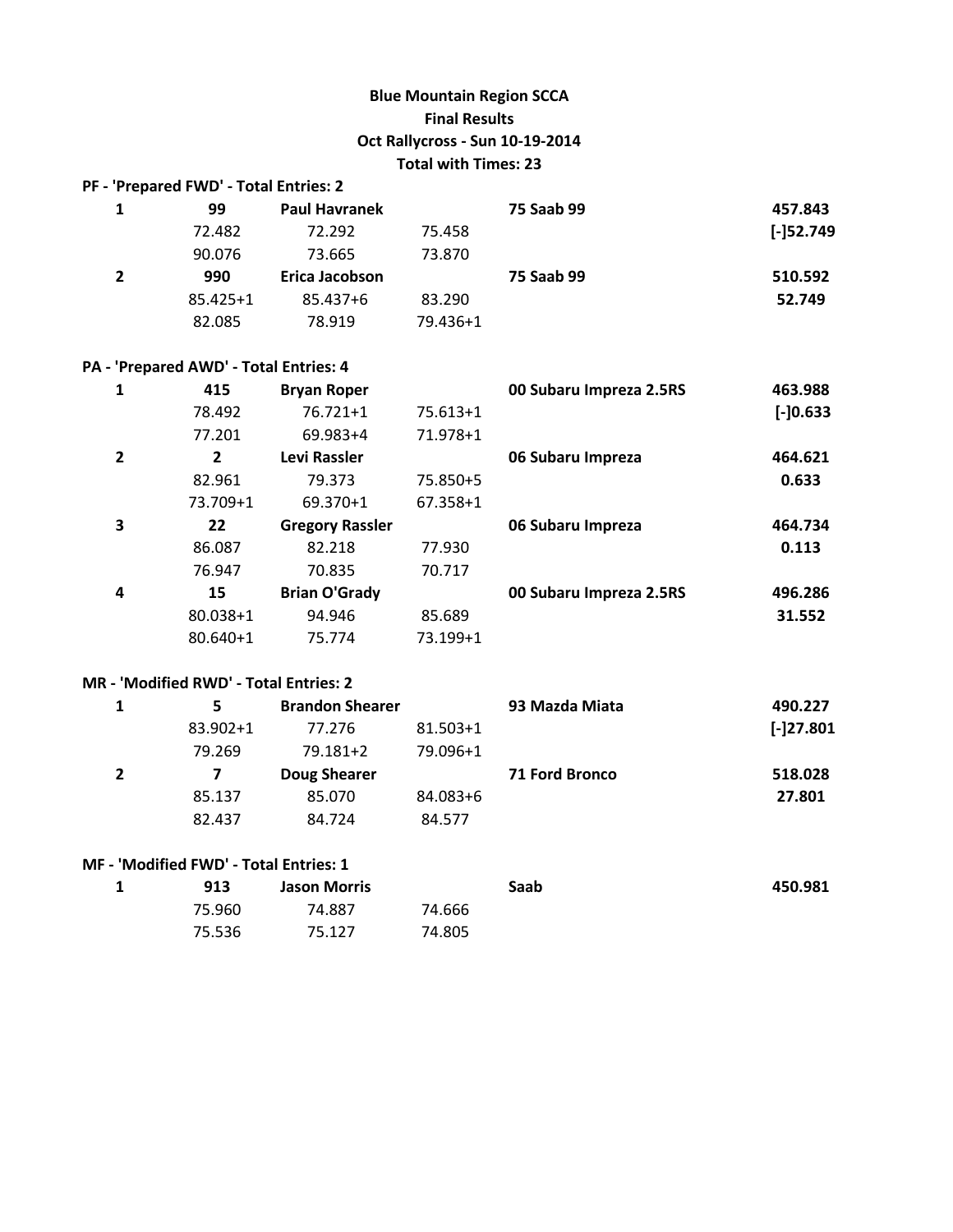### **Blue Mountain Region SCCA Final Results Oct Rallycross - Sun 10-19-2014 Total with Times: 23**

|                | PF - 'Prepared FWD' - Total Entries: 2 |                      |          |            |              |
|----------------|----------------------------------------|----------------------|----------|------------|--------------|
| 1              | 99                                     | <b>Paul Havranek</b> |          | 75 Saab 99 | 457.843      |
|                | 72.482                                 | 72.292               | 75.458   |            | $[-152.749]$ |
|                | 90.076                                 | 73.665               | 73.870   |            |              |
| $\overline{2}$ | 990                                    | Erica Jacobson       |          | 75 Saab 99 | 510.592      |
|                | $85.425 + 1$                           | 85.437+6             | 83.290   |            | 52.749       |
|                | 82.085                                 | 78.919               | 79.436+1 |            |              |

### **PA - 'Prepared AWD' - Total Entries: 4**

|   | 415          | <b>Bryan Roper</b>     |            | 00 Subaru Impreza 2.5RS | 463.988     |
|---|--------------|------------------------|------------|-------------------------|-------------|
|   | 78.492       | $76.721 + 1$           | $75.613+1$ |                         | $[-]0.633]$ |
|   | 77.201       | 69.983+4               | 71.978+1   |                         |             |
| 2 | $\mathbf{2}$ | Levi Rassler           |            | 06 Subaru Impreza       | 464.621     |
|   | 82.961       | 79.373                 | 75.850+5   |                         | 0.633       |
|   | 73.709+1     | 69.370+1               | 67.358+1   |                         |             |
| 3 | 22           | <b>Gregory Rassler</b> |            | 06 Subaru Impreza       | 464.734     |
|   | 86.087       | 82.218                 | 77.930     |                         | 0.113       |
|   | 76.947       | 70.835                 | 70.717     |                         |             |
| 4 | 15           | <b>Brian O'Grady</b>   |            | 00 Subaru Impreza 2.5RS | 496.286     |
|   | 80.038+1     | 94.946                 | 85.689     |                         | 31.552      |
|   | $80.640 + 1$ | 75.774                 | 73.199+1   |                         |             |

#### **MR - 'Modified RWD' - Total Entries: 2**

| 5.       | <b>Brandon Shearer</b> |              | 93 Mazda Miata        | 490.227     |
|----------|------------------------|--------------|-----------------------|-------------|
| 83.902+1 | 77.276                 | $81.503 + 1$ |                       | $[-]27.801$ |
| 79.269   | $79.181 + 2$           | 79.096+1     |                       |             |
|          | Doug Shearer           |              | <b>71 Ford Bronco</b> | 518.028     |
| 85.137   | 85.070                 | 84.083+6     |                       | 27.801      |
| 82.437   | 84.724                 | 84.577       |                       |             |

### **MF - 'Modified FWD' - Total Entries: 1**

| 913    | <b>Jason Morris</b> |        | Saab | 450.981 |
|--------|---------------------|--------|------|---------|
| 75.960 | 74.887              | 74.666 |      |         |
| 75.536 | 75.127              | 74.805 |      |         |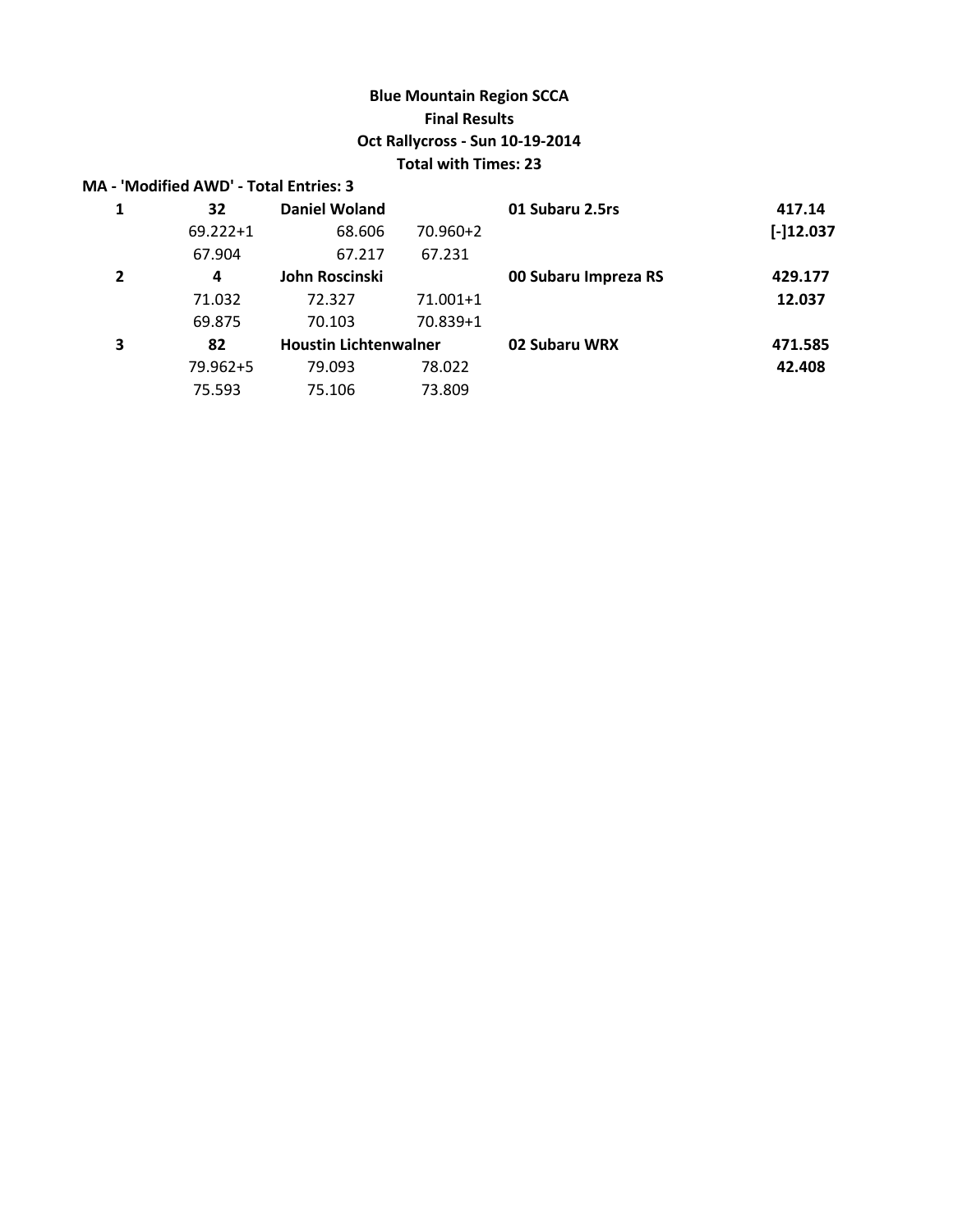# **Blue Mountain Region SCCA Final Results Oct Rallycross - Sun 10-19-2014 Total with Times: 23**

|                | <b>MA - 'Modified AWD' - Total Entries: 3</b> |                              |              |                      |             |
|----------------|-----------------------------------------------|------------------------------|--------------|----------------------|-------------|
| 1              | 32                                            | <b>Daniel Woland</b>         |              | 01 Subaru 2.5rs      | 417.14      |
|                | $69.222 + 1$                                  | 68.606                       | $70.960 + 2$ |                      | $[-]12.037$ |
|                | 67.904                                        | 67.217                       | 67.231       |                      |             |
| $\overline{2}$ | 4                                             | John Roscinski               |              | 00 Subaru Impreza RS | 429.177     |
|                | 71.032                                        | 72.327                       | 71.001+1     |                      | 12.037      |
|                | 69.875                                        | 70.103                       | 70.839+1     |                      |             |
| 3              | 82                                            | <b>Houstin Lichtenwalner</b> |              | 02 Subaru WRX        | 471.585     |
|                | 79.962+5                                      | 79.093                       | 78.022       |                      | 42.408      |
|                | 75.593                                        | 75.106                       | 73.809       |                      |             |